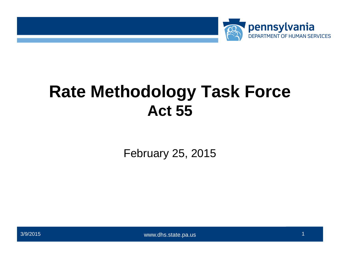

## **Rate Methodology Task Force Act 55**

February 25, 2015



www.dhs.state.pa.us www.dpw.state.pa.us > 3/9/2015 1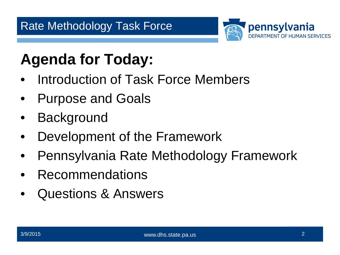

## **Agenda for Today:**

- Introduction of Task Force Members
- Purpose and Goals
- **Background**
- Development of the Framework
- Pennsylvania Rate Methodology Framework
- Recommendations
- Questions & Answers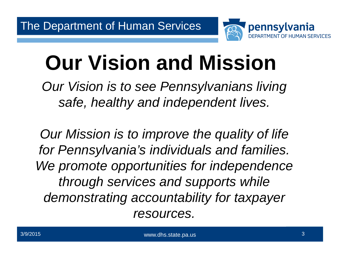

# **Our Vision and Mission**

*Our Vision is to see Pennsylvanians living safe, healthy and independent lives.*

*Our Mission is to improve the quality of life for Pennsylvania's individuals and families. We promote opportunities for independence through services and supports while demonstrating accountability for taxpayer resources.*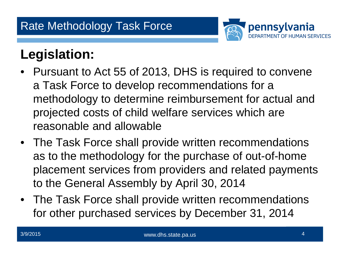

## **Legislation:**

- Pursuant to Act 55 of 2013, DHS is required to convene a Task Force to develop recommendations for a methodology to determine reimbursement for actual and projected costs of child welfare services which are reasonable and allowable
- The Task Force shall provide written recommendations as to the methodology for the purchase of out-of-home placement services from providers and related payments to the General Assembly by April 30, 2014
- The Task Force shall provide written recommendations for other purchased services by December 31, 2014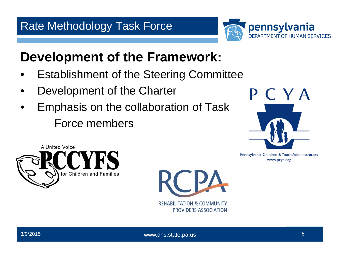

## **Development of the Framework:**

- Establishment of the Steering Committee
- Development of the Charter
- Emphasis on the collaboration of Task Force members





Pennsylvania Children & Youth Administrators www.pcya.org

**REHABILITATION & COMMUNITY** 

PROVIDERS ASSOCIATION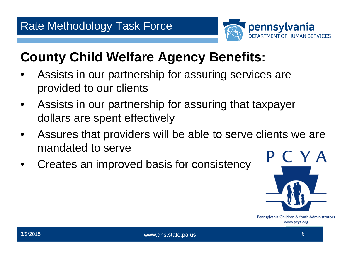

## **County Child Welfare Agency Benefits:**

- Assists in our partnership for assuring services are provided to our clients
- Assists in our partnership for assuring that taxpayer dollars are spent effectively
- Assures that providers will be able to serve clients we are mandated to serve
- Creates an improved basis for consistency in



Pennsylvania Children & Youth Administrators www.pcya.org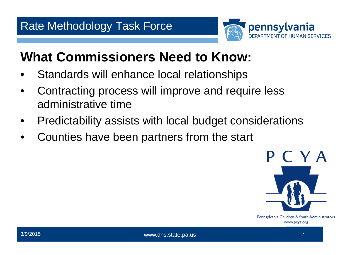

## **What Commissioners Need to Know:**

- Standards will enhance local relationships
- Contracting process will improve and require less administrative time
- Predictability assists with local budget considerations
- Counties have been partners from the start



Pennsylvania Children & Youth Administrators www.pcya.org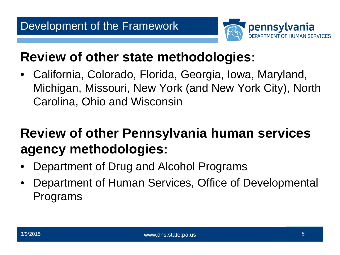

## **Review of other state methodologies:**

• California, Colorado, Florida, Georgia, Iowa, Maryland, Michigan, Missouri, New York (and New York City), North Carolina, Ohio and Wisconsin

## **Review of other Pennsylvania human services agency methodologies:**

- Department of Drug and Alcohol Programs
- Department of Human Services, Office of Developmental Programs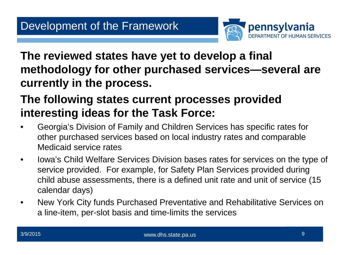

**The reviewed states have yet to develop a final methodology for other purchased services—several are currently in the process.**

#### **The following states current processes provided interesting ideas for the Task Force:**

- Georgia's Division of Family and Children Services has specific rates for other purchased services based on local industry rates and comparable Medicaid service rates
- Iowa's Child Welfare Services Division bases rates for services on the type of service provided. For example, for Safety Plan Services provided during child abuse assessments, there is a defined unit rate and unit of service (15 calendar days)
- New York City funds Purchased Preventative and Rehabilitative Services on a line-item, per-slot basis and time-limits the services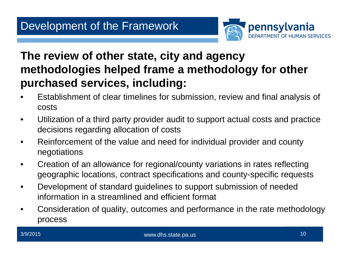

#### **The review of other state, city and agency methodologies helped frame a methodology for other purchased services, including:**

- Establishment of clear timelines for submission, review and final analysis of costs
- Utilization of a third party provider audit to support actual costs and practice decisions regarding allocation of costs
- Reinforcement of the value and need for individual provider and county negotiations
- Creation of an allowance for regional/county variations in rates reflecting geographic locations, contract specifications and county-specific requests
- Development of standard guidelines to support submission of needed information in a streamlined and efficient format
- Consideration of quality, outcomes and performance in the rate methodology process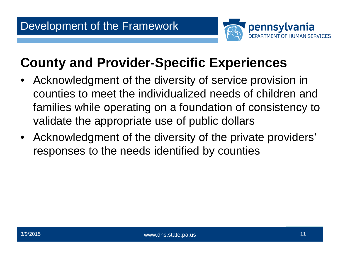

## **County and Provider-Specific Experiences**

- Acknowledgment of the diversity of service provision in counties to meet the individualized needs of children and families while operating on a foundation of consistency to validate the appropriate use of public dollars
- Acknowledgment of the diversity of the private providers' responses to the needs identified by counties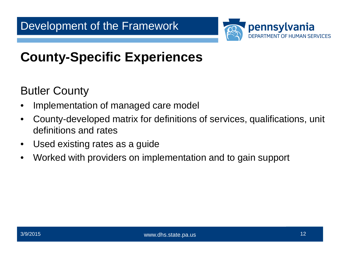

## **County-Specific Experiences**

Butler County

- Implementation of managed care model
- County-developed matrix for definitions of services, qualifications, unit definitions and rates
- Used existing rates as a guide
- Worked with providers on implementation and to gain support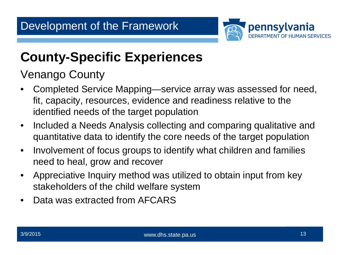

## **County-Specific Experiences**

Venango County

- Completed Service Mapping—service array was assessed for need, fit, capacity, resources, evidence and readiness relative to the identified needs of the target population
- Included a Needs Analysis collecting and comparing qualitative and quantitative data to identify the core needs of the target population
- Involvement of focus groups to identify what children and families need to heal, grow and recover
- Appreciative Inquiry method was utilized to obtain input from key stakeholders of the child welfare system
- Data was extracted from AFCARS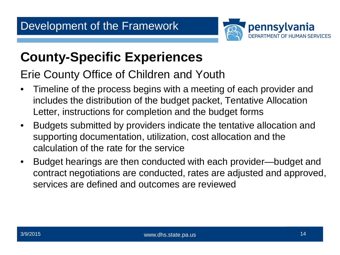

## **County-Specific Experiences**

#### Erie County Office of Children and Youth

- Timeline of the process begins with a meeting of each provider and includes the distribution of the budget packet, Tentative Allocation Letter, instructions for completion and the budget forms
- Budgets submitted by providers indicate the tentative allocation and supporting documentation, utilization, cost allocation and the calculation of the rate for the service
- Budget hearings are then conducted with each provider—budget and contract negotiations are conducted, rates are adjusted and approved, services are defined and outcomes are reviewed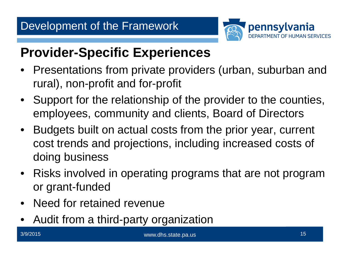

## **Provider-Specific Experiences**

- Presentations from private providers (urban, suburban and rural), non-profit and for-profit
- Support for the relationship of the provider to the counties, employees, community and clients, Board of Directors
- Budgets built on actual costs from the prior year, current cost trends and projections, including increased costs of doing business
- Risks involved in operating programs that are not program or grant-funded
- Need for retained revenue
- Audit from a third-party organization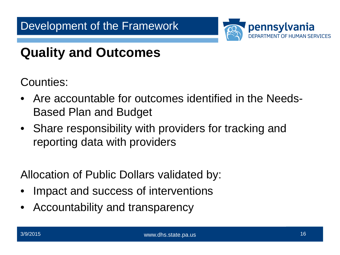

## **Quality and Outcomes**

Counties:

- Are accountable for outcomes identified in the Needs-Based Plan and Budget
- Share responsibility with providers for tracking and reporting data with providers

Allocation of Public Dollars validated by:

- Impact and success of interventions
- Accountability and transparency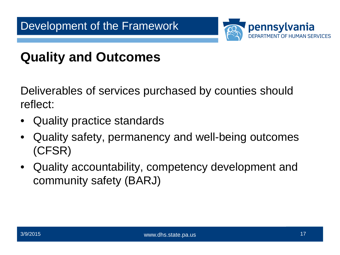

## **Quality and Outcomes**

Deliverables of services purchased by counties should reflect:

- Quality practice standards
- Quality safety, permanency and well-being outcomes (CFSR)
- Quality accountability, competency development and community safety (BARJ)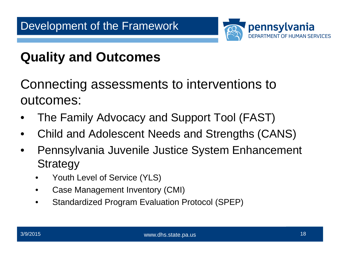

## **Quality and Outcomes**

Connecting assessments to interventions to outcomes:

- The Family Advocacy and Support Tool (FAST)
- Child and Adolescent Needs and Strengths (CANS)
- Pennsylvania Juvenile Justice System Enhancement **Strategy** 
	- Youth Level of Service (YLS)
	- Case Management Inventory (CMI)
	- Standardized Program Evaluation Protocol (SPEP)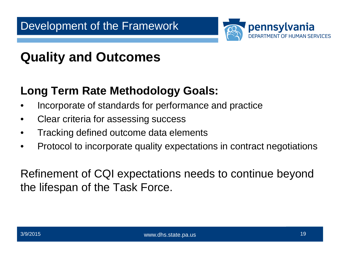#### Development of the Framework



## **Quality and Outcomes**

#### **Long Term Rate Methodology Goals:**

- Incorporate of standards for performance and practice
- Clear criteria for assessing success
- Tracking defined outcome data elements
- Protocol to incorporate quality expectations in contract negotiations

Refinement of CQI expectations needs to continue beyond the lifespan of the Task Force.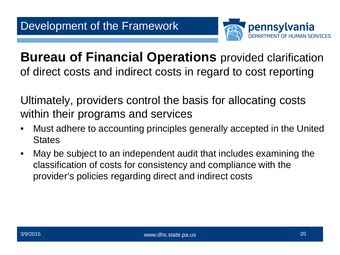

**Bureau of Financial Operations** provided clarification of direct costs and indirect costs in regard to cost reporting

Ultimately, providers control the basis for allocating costs within their programs and services

- Must adhere to accounting principles generally accepted in the United **States**
- May be subject to an independent audit that includes examining the classification of costs for consistency and compliance with the provider's policies regarding direct and indirect costs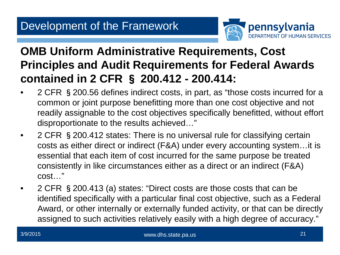

#### **OMB Uniform Administrative Requirements, Cost Principles and Audit Requirements for Federal Awards contained in 2 CFR** § **200.412 - 200.414:**

- 2 CFR §200.56 defines indirect costs, in part, as "those costs incurred for a common or joint purpose benefitting more than one cost objective and not readily assignable to the cost objectives specifically benefitted, without effort disproportionate to the results achieved…"
- 2 CFR § 200.412 states: There is no universal rule for classifying certain costs as either direct or indirect (F&A) under every accounting system…it is essential that each item of cost incurred for the same purpose be treated consistently in like circumstances either as a direct or an indirect (F&A) cost…"
- 2 CFR § 200.413 (a) states: "Direct costs are those costs that can be identified specifically with a particular final cost objective, such as a Federal Award, or other internally or externally funded activity, or that can be directly assigned to such activities relatively easily with a high degree of accuracy."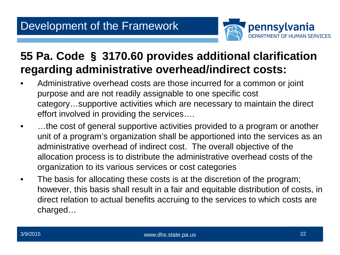

#### **55 Pa. Code** § **3170.60 provides additional clarification regarding administrative overhead/indirect costs:**

- Administrative overhead costs are those incurred for a common or joint purpose and are not readily assignable to one specific cost category…supportive activities which are necessary to maintain the direct effort involved in providing the services….
- ...the cost of general supportive activities provided to a program or another unit of a program's organization shall be apportioned into the services as an administrative overhead of indirect cost. The overall objective of the allocation process is to distribute the administrative overhead costs of the organization to its various services or cost categories
- The basis for allocating these costs is at the discretion of the program; however, this basis shall result in a fair and equitable distribution of costs, in direct relation to actual benefits accruing to the services to which costs are charged…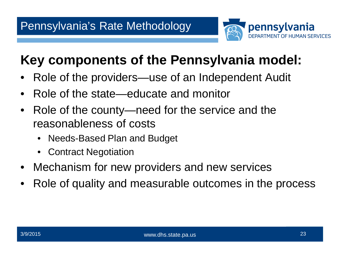

## **Key components of the Pennsylvania model:**

- Role of the providers—use of an Independent Audit
- Role of the state—educate and monitor
- Role of the county—need for the service and the reasonableness of costs
	- Needs-Based Plan and Budget
	- Contract Negotiation
- Mechanism for new providers and new services
- Role of quality and measurable outcomes in the process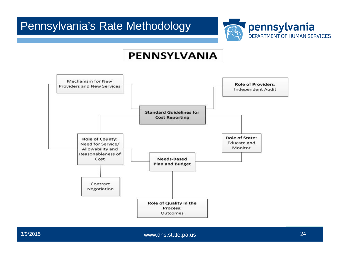

#### **PENNSYLVANIA**

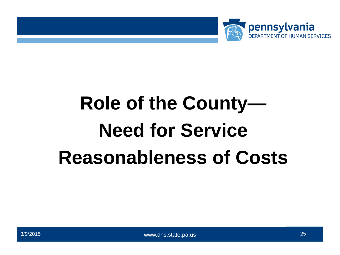

# **Role of the County— Need for Service Reasonableness of Costs**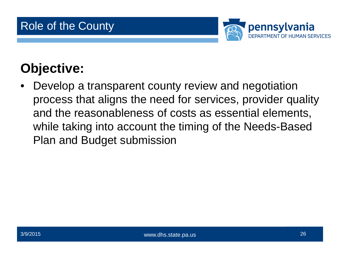

## **Objective:**

• Develop a transparent county review and negotiation process that aligns the need for services, provider quality and the reasonableness of costs as essential elements, while taking into account the timing of the Needs-Based Plan and Budget submission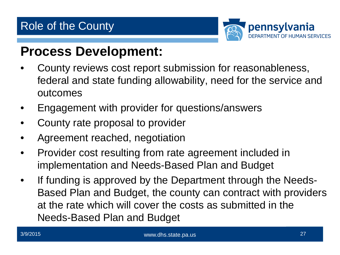

#### **Process Development:**

- County reviews cost report submission for reasonableness, federal and state funding allowability, need for the service and outcomes
- Engagement with provider for questions/answers
- County rate proposal to provider
- Agreement reached, negotiation
- Provider cost resulting from rate agreement included in implementation and Needs-Based Plan and Budget
- If funding is approved by the Department through the Needs-Based Plan and Budget, the county can contract with providers at the rate which will cover the costs as submitted in the Needs-Based Plan and Budget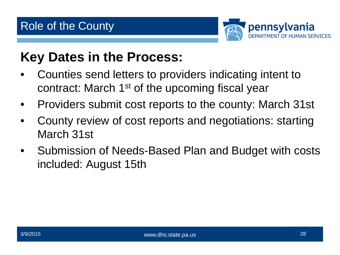

## **Key Dates in the Process:**

- Counties send letters to providers indicating intent to contract: March 1<sup>st</sup> of the upcoming fiscal year
- Providers submit cost reports to the county: March 31st
- County review of cost reports and negotiations: starting March 31st
- Submission of Needs-Based Plan and Budget with costs included: August 15th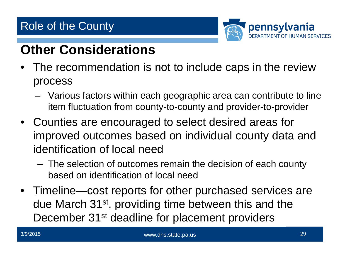#### Role of the County



## **Other Considerations**

- The recommendation is not to include caps in the review process
	- Various factors within each geographic area can contribute to line item fluctuation from county-to-county and provider-to-provider
- Counties are encouraged to select desired areas for improved outcomes based on individual county data and identification of local need
	- The selection of outcomes remain the decision of each county based on identification of local need
- Timeline—cost reports for other purchased services are due March 31st, providing time between this and the December 31<sup>st</sup> deadline for placement providers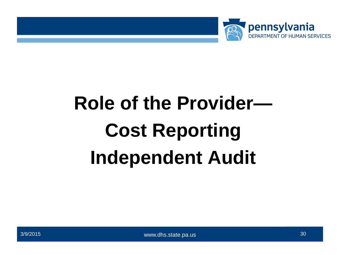

# **Role of the Provider— Cost Reporting Independent Audit**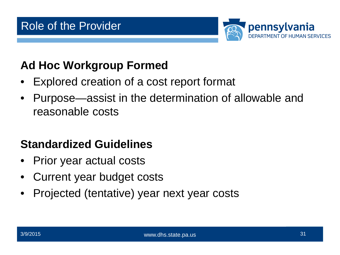

#### **Ad Hoc Workgroup Formed**

- Explored creation of a cost report format
- Purpose—assist in the determination of allowable and reasonable costs

#### **Standardized Guidelines**

- Prior year actual costs
- Current year budget costs
- Projected (tentative) year next year costs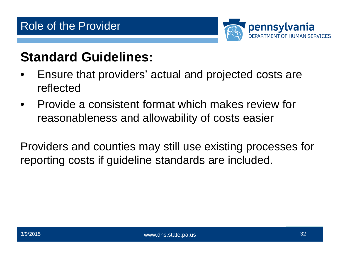

## **Standard Guidelines:**

- Ensure that providers' actual and projected costs are reflected
- Provide a consistent format which makes review for reasonableness and allowability of costs easier

Providers and counties may still use existing processes for reporting costs if guideline standards are included.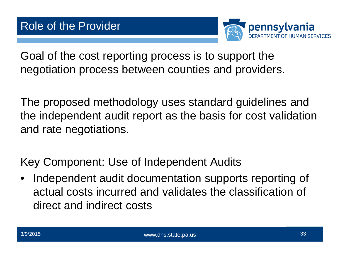

Goal of the cost reporting process is to support the negotiation process between counties and providers.

The proposed methodology uses standard guidelines and the independent audit report as the basis for cost validation and rate negotiations.

Key Component: Use of Independent Audits

Independent audit documentation supports reporting of actual costs incurred and validates the classification of direct and indirect costs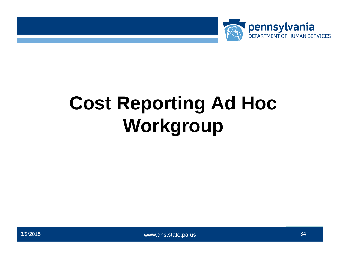

## **Cost Reporting Ad Hoc Workgroup**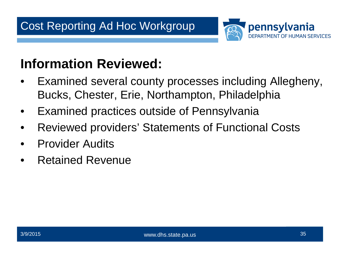

## **Information Reviewed:**

- Examined several county processes including Allegheny, Bucks, Chester, Erie, Northampton, Philadelphia
- Examined practices outside of Pennsylvania
- Reviewed providers' Statements of Functional Costs
- Provider Audits
- Retained Revenue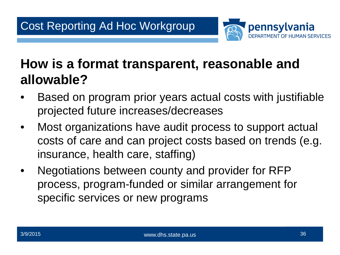

## **How is a format transparent, reasonable and allowable?**

- Based on program prior years actual costs with justifiable projected future increases/decreases
- Most organizations have audit process to support actual costs of care and can project costs based on trends (e.g. insurance, health care, staffing)
- Negotiations between county and provider for RFP process, program-funded or similar arrangement for specific services or new programs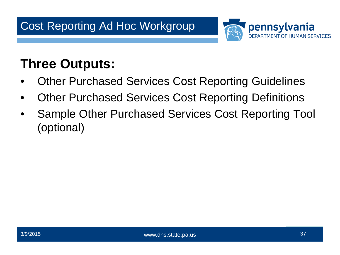

## **Three Outputs:**

- Other Purchased Services Cost Reporting Guidelines
- Other Purchased Services Cost Reporting Definitions
- Sample Other Purchased Services Cost Reporting Tool (optional)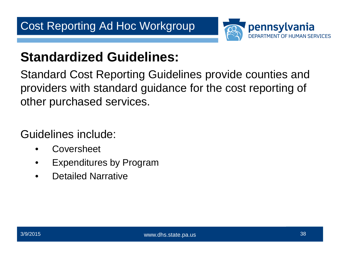

## **Standardized Guidelines:**

Standard Cost Reporting Guidelines provide counties and providers with standard guidance for the cost reporting of other purchased services.

Guidelines include:

- Coversheet
- Expenditures by Program
- Detailed Narrative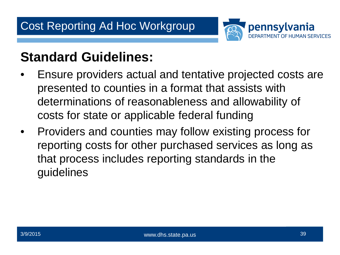

## **Standard Guidelines:**

- Ensure providers actual and tentative projected costs are presented to counties in a format that assists with determinations of reasonableness and allowability of costs for state or applicable federal funding
- Providers and counties may follow existing process for reporting costs for other purchased services as long as that process includes reporting standards in the guidelines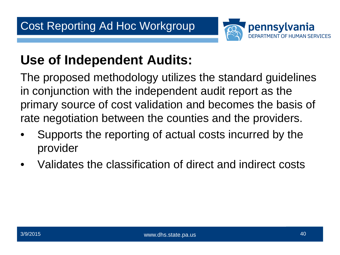

## **Use of Independent Audits:**

The proposed methodology utilizes the standard guidelines in conjunction with the independent audit report as the primary source of cost validation and becomes the basis of rate negotiation between the counties and the providers.

- Supports the reporting of actual costs incurred by the provider
- Validates the classification of direct and indirect costs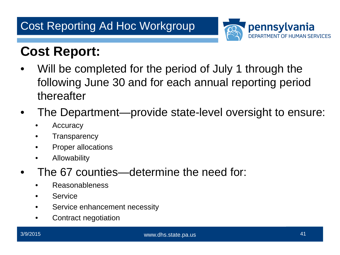

## **Cost Report:**

- Will be completed for the period of July 1 through the following June 30 and for each annual reporting period thereafter
- The Department—provide state-level oversight to ensure:
	- Accuracy
	- Transparency
	- Proper allocations
	- Allowability
- The 67 counties—determine the need for:
	- Reasonableness
	- Service
	- Service enhancement necessity
	- Contract negotiation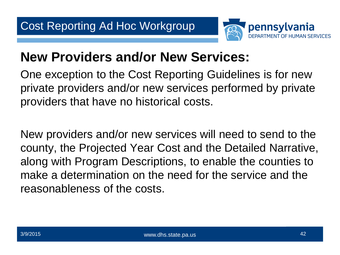

## **New Providers and/or New Services:**

One exception to the Cost Reporting Guidelines is for new private providers and/or new services performed by private providers that have no historical costs.

New providers and/or new services will need to send to the county, the Projected Year Cost and the Detailed Narrative, along with Program Descriptions, to enable the counties to make a determination on the need for the service and the reasonableness of the costs.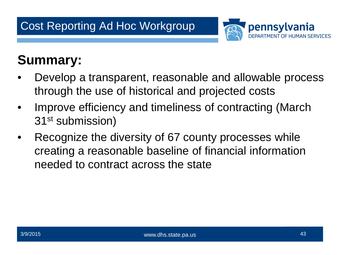

## **Summary:**

- Develop a transparent, reasonable and allowable process through the use of historical and projected costs
- Improve efficiency and timeliness of contracting (March 31st submission)
- Recognize the diversity of 67 county processes while creating a reasonable baseline of financial information needed to contract across the state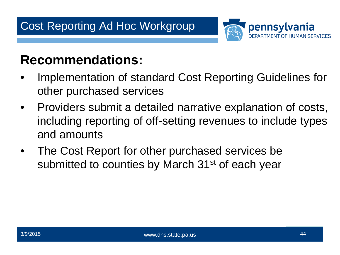

## **Recommendations:**

- Implementation of standard Cost Reporting Guidelines for other purchased services
- Providers submit a detailed narrative explanation of costs, including reporting of off-setting revenues to include types and amounts
- The Cost Report for other purchased services be submitted to counties by March 31<sup>st</sup> of each year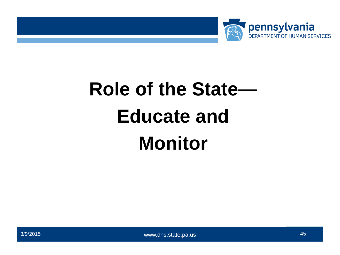

# **Role of the State— Educate and Monitor**



3/9/2015 and the state of the state www.dhs.state.pa.us and the state of the state of the state of the state of the state of the state of the state of the state of the state of the state of the state of the state of the st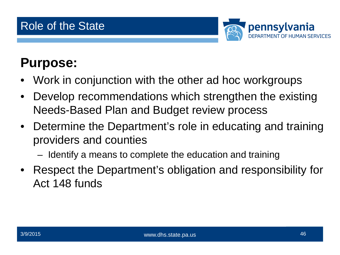

## **Purpose:**

- Work in conjunction with the other ad hoc workgroups
- Develop recommendations which strengthen the existing Needs-Based Plan and Budget review process
- Determine the Department's role in educating and training providers and counties
	- Identify a means to complete the education and training
- Respect the Department's obligation and responsibility for Act 148 funds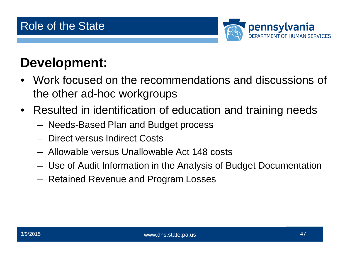

## **Development:**

- Work focused on the recommendations and discussions of the other ad-hoc workgroups
- Resulted in identification of education and training needs
	- Needs-Based Plan and Budget process
	- Direct versus Indirect Costs
	- Allowable versus Unallowable Act 148 costs
	- Use of Audit Information in the Analysis of Budget Documentation
	- Retained Revenue and Program Losses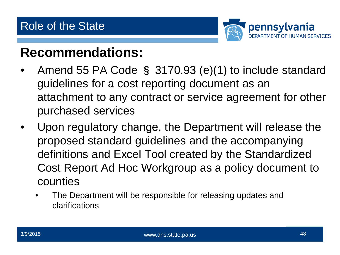

### **Recommendations:**

- Amend 55 PA Code § 3170.93 (e)(1) to include standard guidelines for a cost reporting document as an attachment to any contract or service agreement for other purchased services
- Upon regulatory change, the Department will release the proposed standard guidelines and the accompanying definitions and Excel Tool created by the Standardized Cost Report Ad Hoc Workgroup as a policy document to counties
	- The Department will be responsible for releasing updates and clarifications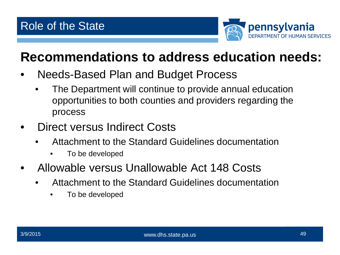

## **Recommendations to address education needs:**

- Needs-Based Plan and Budget Process
	- The Department will continue to provide annual education opportunities to both counties and providers regarding the process
- Direct versus Indirect Costs
	- Attachment to the Standard Guidelines documentation
		- To be developed
- Allowable versus Unallowable Act 148 Costs
	- Attachment to the Standard Guidelines documentation
		- To be developed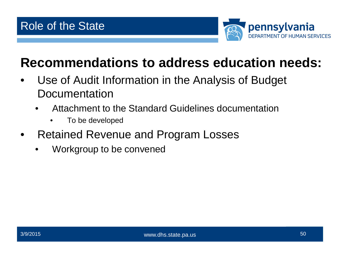

## **Recommendations to address education needs:**

- Use of Audit Information in the Analysis of Budget Documentation
	- Attachment to the Standard Guidelines documentation
		- To be developed
- Retained Revenue and Program Losses
	- Workgroup to be convened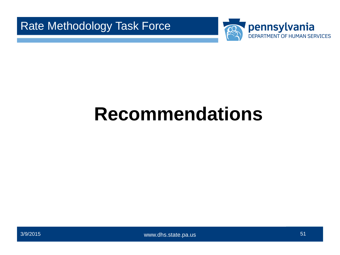



## **Questions??? Recommendations**

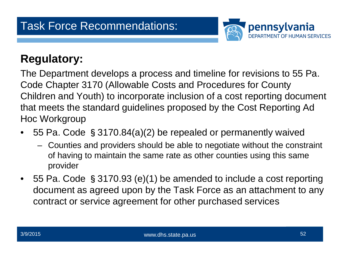

#### **Regulatory:**

The Department develops a process and timeline for revisions to 55 Pa. Code Chapter 3170 (Allowable Costs and Procedures for County Children and Youth) to incorporate inclusion of a cost reporting document that meets the standard guidelines proposed by the Cost Reporting Ad Hoc Workgroup

- 55 Pa. Code §3170.84(a)(2) be repealed or permanently waived
	- Counties and providers should be able to negotiate without the constraint of having to maintain the same rate as other counties using this same provider
- 55 Pa. Code §3170.93 (e)(1) be amended to include a cost reporting document as agreed upon by the Task Force as an attachment to any contract or service agreement for other purchased services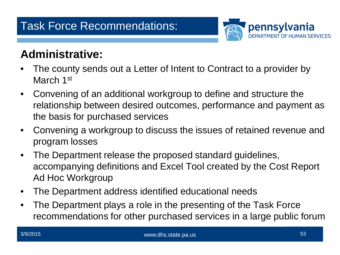#### Task Force Recommendations:



#### **Administrative:**

- The county sends out a Letter of Intent to Contract to a provider by March 1st
- Convening of an additional workgroup to define and structure the relationship between desired outcomes, performance and payment as the basis for purchased services
- Convening a workgroup to discuss the issues of retained revenue and program losses
- The Department release the proposed standard guidelines, accompanying definitions and Excel Tool created by the Cost Report Ad Hoc Workgroup
- The Department address identified educational needs
- The Department plays a role in the presenting of the Task Force recommendations for other purchased services in a large public forum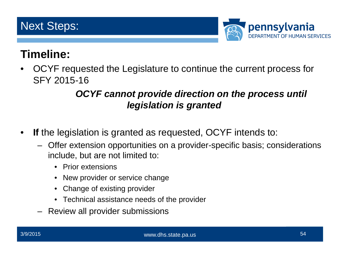

#### **Timeline:**

• OCYF requested the Legislature to continue the current process for SFY 2015-16

#### *OCYF cannot provide direction on the process until legislation is granted*

- **If** the legislation is granted as requested, OCYF intends to:
	- Offer extension opportunities on a provider-specific basis; considerations include, but are not limited to:
		- Prior extensions
		- New provider or service change
		- Change of existing provider
		- Technical assistance needs of the provider
	- Review all provider submissions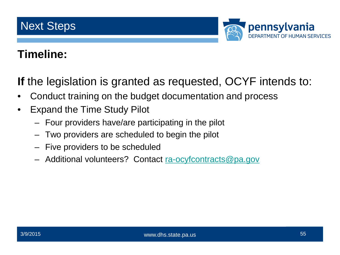

#### **Timeline:**

**If** the legislation is granted as requested, OCYF intends to:

- Conduct training on the budget documentation and process
- Expand the Time Study Pilot
	- Four providers have/are participating in the pilot
	- Two providers are scheduled to begin the pilot
	- Five providers to be scheduled
	- Additional volunteers? Contact [ra-ocyfcontracts@pa.gov](mailto:ra-ocyfcontracts@pa.gov)